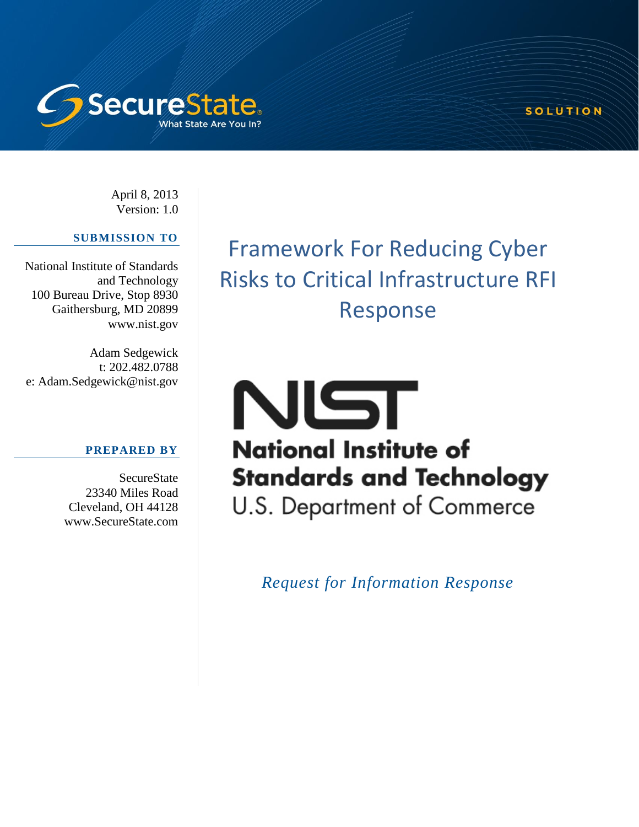

April 8, 2013 Version: 1.0

## **SUBMISSION TO**

National Institute of Standards and Technology 100 Bureau Drive, Stop 8930 Gaithersburg, MD 20899 www.nist.gov

Adam Sedgewick t: 202.482.0788 e: Adam.Sedgewick@nist.gov

## **PREPARED BY**

**SecureState** 23340 Miles Road Cleveland, OH 44128 www.SecureState.com

Framework For Reducing Cyber Risks to Critical Infrastructure RFI Response

SOLUTION

# NIST **National Institute of Standards and Technology**

U.S. Department of Commerce

*Request for Information Response*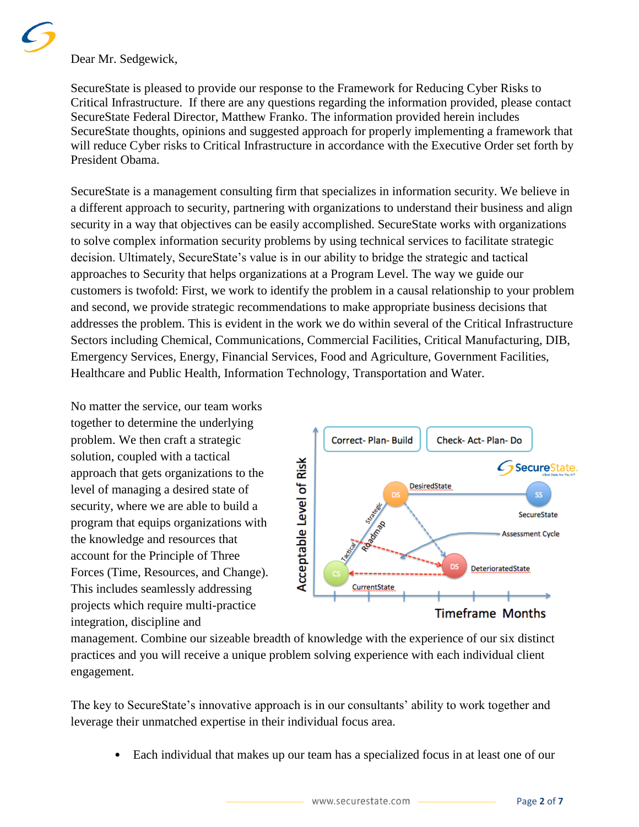Dear Mr. Sedgewick,

SecureState is pleased to provide our response to the Framework for Reducing Cyber Risks to Critical Infrastructure. If there are any questions regarding the information provided, please contact SecureState Federal Director, Matthew Franko. The information provided herein includes SecureState thoughts, opinions and suggested approach for properly implementing a framework that will reduce Cyber risks to Critical Infrastructure in accordance with the Executive Order set forth by President Obama.

SecureState is a management consulting firm that specializes in information security. We believe in a different approach to security, partnering with organizations to understand their business and align security in a way that objectives can be easily accomplished. SecureState works with organizations to solve complex information security problems by using technical services to facilitate strategic decision. Ultimately, SecureState's value is in our ability to bridge the strategic and tactical approaches to Security that helps organizations at a Program Level. The way we guide our customers is twofold: First, we work to identify the problem in a causal relationship to your problem and second, we provide strategic recommendations to make appropriate business decisions that addresses the problem. This is evident in the work we do within several of the Critical Infrastructure Sectors including Chemical, Communications, Commercial Facilities, Critical Manufacturing, DIB, Emergency Services, Energy, Financial Services, Food and Agriculture, Government Facilities, Healthcare and Public Health, Information Technology, Transportation and Water.

No matter the service, our team works together to determine the underlying problem. We then craft a strategic solution, coupled with a tactical approach that gets organizations to the level of managing a desired state of security, where we are able to build a program that equips organizations with the knowledge and resources that account for the Principle of Three Forces (Time, Resources, and Change). This includes seamlessly addressing projects which require multi-practice integration, discipline and



management. Combine our sizeable breadth of knowledge with the experience of our six distinct practices and you will receive a unique problem solving experience with each individual client engagement.

The key to SecureState's innovative approach is in our consultants' ability to work together and leverage their unmatched expertise in their individual focus area.

• Each individual that makes up our team has a specialized focus in at least one of our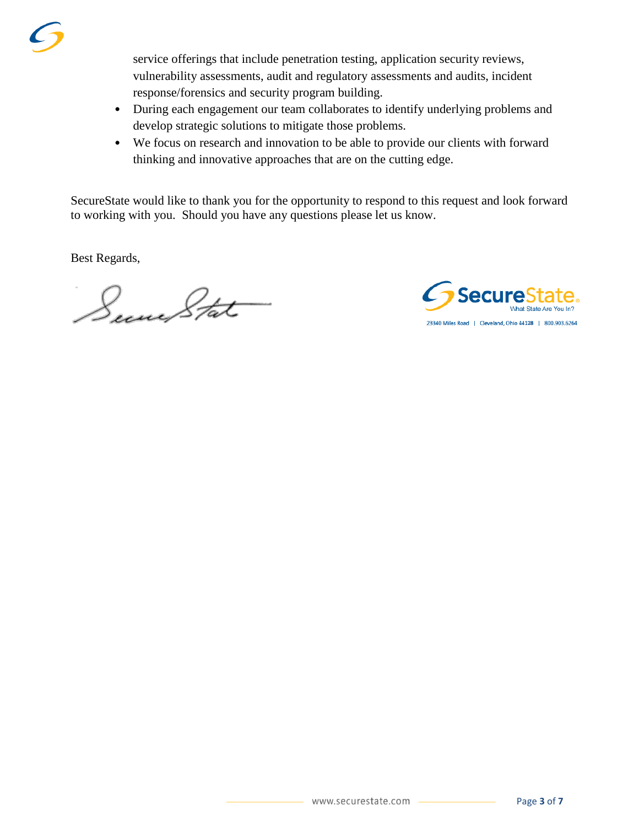service offerings that include penetration testing, application security reviews, vulnerability assessments, audit and regulatory assessments and audits, incident response/forensics and security program building.

- During each engagement our team collaborates to identify underlying problems and develop strategic solutions to mitigate those problems.
- We focus on research and innovation to be able to provide our clients with forward thinking and innovative approaches that are on the cutting edge.

SecureState would like to thank you for the opportunity to respond to this request and look forward to working with you. Should you have any questions please let us know.

Best Regards,

Secure Stat

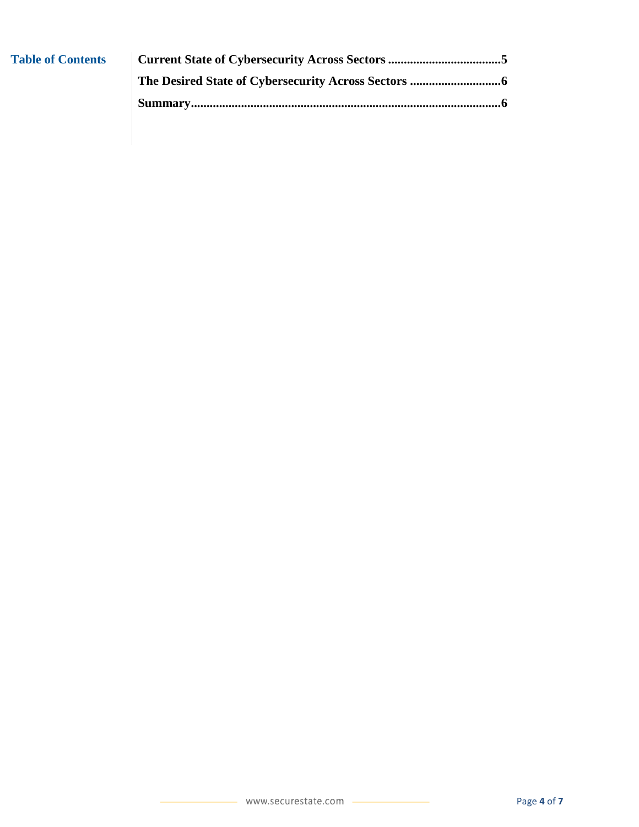| <b>Table of Contents</b> |  |
|--------------------------|--|
|                          |  |
|                          |  |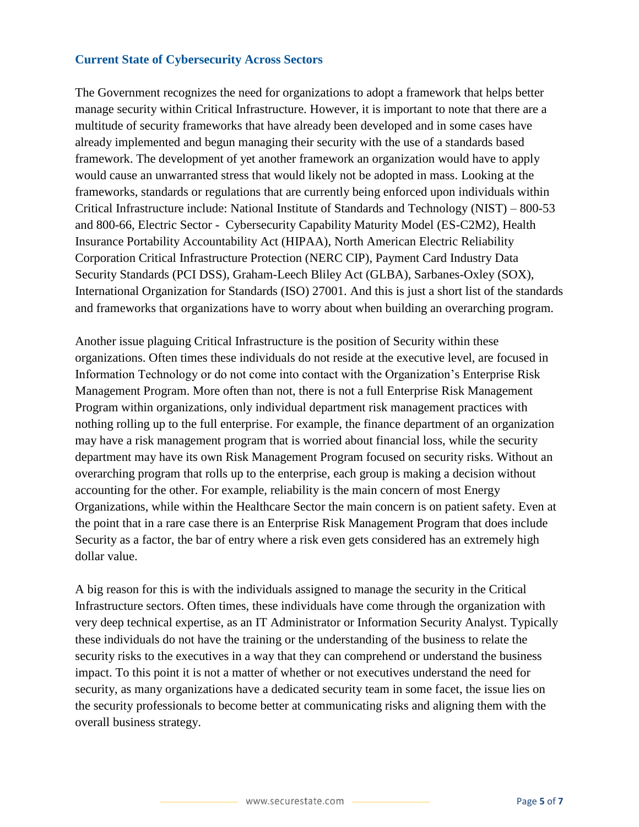### <span id="page-4-0"></span>**Current State of Cybersecurity Across Sectors**

The Government recognizes the need for organizations to adopt a framework that helps better manage security within Critical Infrastructure. However, it is important to note that there are a multitude of security frameworks that have already been developed and in some cases have already implemented and begun managing their security with the use of a standards based framework. The development of yet another framework an organization would have to apply would cause an unwarranted stress that would likely not be adopted in mass. Looking at the frameworks, standards or regulations that are currently being enforced upon individuals within Critical Infrastructure include: National Institute of Standards and Technology (NIST) – 800-53 and 800-66, Electric Sector - Cybersecurity Capability Maturity Model (ES-C2M2), Health Insurance Portability Accountability Act (HIPAA), North American Electric Reliability Corporation Critical Infrastructure Protection (NERC CIP), Payment Card Industry Data Security Standards (PCI DSS), Graham-Leech Bliley Act (GLBA), Sarbanes-Oxley (SOX), International Organization for Standards (ISO) 27001. And this is just a short list of the standards and frameworks that organizations have to worry about when building an overarching program.

Another issue plaguing Critical Infrastructure is the position of Security within these organizations. Often times these individuals do not reside at the executive level, are focused in Information Technology or do not come into contact with the Organization's Enterprise Risk Management Program. More often than not, there is not a full Enterprise Risk Management Program within organizations, only individual department risk management practices with nothing rolling up to the full enterprise. For example, the finance department of an organization may have a risk management program that is worried about financial loss, while the security department may have its own Risk Management Program focused on security risks. Without an overarching program that rolls up to the enterprise, each group is making a decision without accounting for the other. For example, reliability is the main concern of most Energy Organizations, while within the Healthcare Sector the main concern is on patient safety. Even at the point that in a rare case there is an Enterprise Risk Management Program that does include Security as a factor, the bar of entry where a risk even gets considered has an extremely high dollar value.

A big reason for this is with the individuals assigned to manage the security in the Critical Infrastructure sectors. Often times, these individuals have come through the organization with very deep technical expertise, as an IT Administrator or Information Security Analyst. Typically these individuals do not have the training or the understanding of the business to relate the security risks to the executives in a way that they can comprehend or understand the business impact. To this point it is not a matter of whether or not executives understand the need for security, as many organizations have a dedicated security team in some facet, the issue lies on the security professionals to become better at communicating risks and aligning them with the overall business strategy.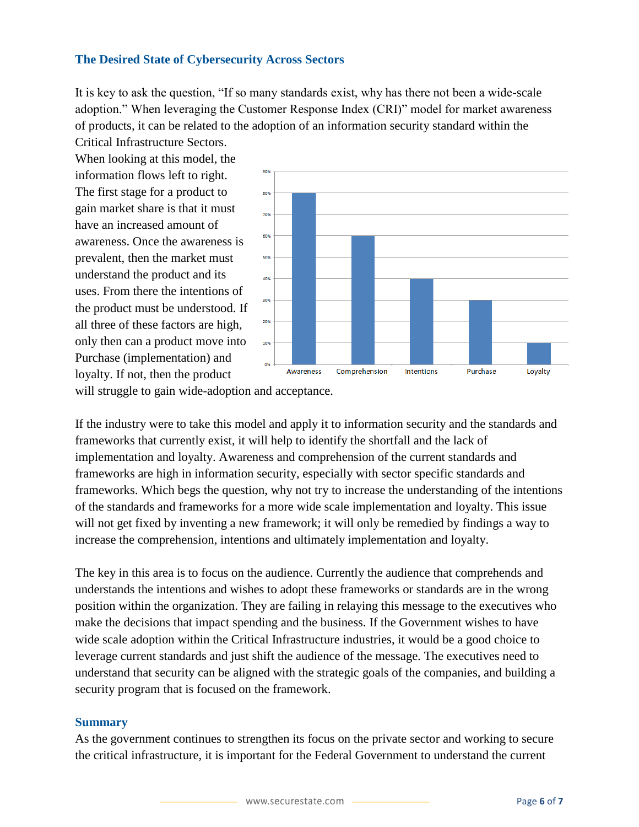### <span id="page-5-0"></span>**The Desired State of Cybersecurity Across Sectors**

It is key to ask the question, "If so many standards exist, why has there not been a wide-scale adoption." When leveraging the Customer Response Index (CRI)" model for market awareness of products, it can be related to the adoption of an information security standard within the

Critical Infrastructure Sectors. When looking at this model, the information flows left to right. The first stage for a product to gain market share is that it must have an increased amount of awareness. Once the awareness is prevalent, then the market must understand the product and its uses. From there the intentions of the product must be understood. If all three of these factors are high, only then can a product move into Purchase (implementation) and loyalty. If not, then the product



will struggle to gain wide-adoption and acceptance.

If the industry were to take this model and apply it to information security and the standards and frameworks that currently exist, it will help to identify the shortfall and the lack of implementation and loyalty. Awareness and comprehension of the current standards and frameworks are high in information security, especially with sector specific standards and frameworks. Which begs the question, why not try to increase the understanding of the intentions of the standards and frameworks for a more wide scale implementation and loyalty. This issue will not get fixed by inventing a new framework; it will only be remedied by findings a way to increase the comprehension, intentions and ultimately implementation and loyalty.

The key in this area is to focus on the audience. Currently the audience that comprehends and understands the intentions and wishes to adopt these frameworks or standards are in the wrong position within the organization. They are failing in relaying this message to the executives who make the decisions that impact spending and the business. If the Government wishes to have wide scale adoption within the Critical Infrastructure industries, it would be a good choice to leverage current standards and just shift the audience of the message. The executives need to understand that security can be aligned with the strategic goals of the companies, and building a security program that is focused on the framework.

#### <span id="page-5-1"></span>**Summary**

As the government continues to strengthen its focus on the private sector and working to secure the critical infrastructure, it is important for the Federal Government to understand the current